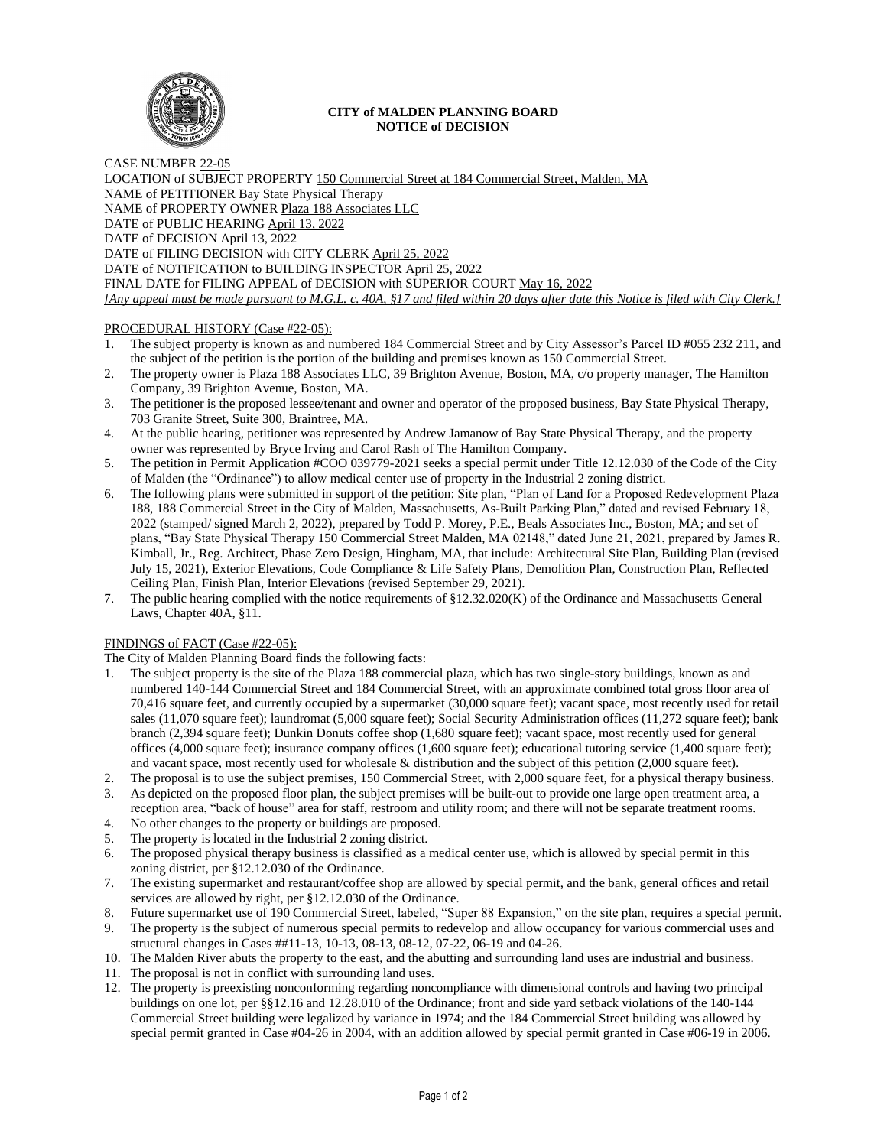

### **CITY of MALDEN PLANNING BOARD NOTICE of DECISION**

CASE NUMBER 22-05 LOCATION of SUBJECT PROPERTY 150 Commercial Street at 184 Commercial Street, Malden, MA NAME of PETITIONER Bay State Physical Therapy NAME of PROPERTY OWNER Plaza 188 Associates LLC DATE of PUBLIC HEARING April 13, 2022 DATE of DECISION April 13, 2022 DATE of FILING DECISION with CITY CLERK April 25, 2022 DATE of NOTIFICATION to BUILDING INSPECTOR April 25, 2022 FINAL DATE for FILING APPEAL of DECISION with SUPERIOR COURT May 16, 2022 *[Any appeal must be made pursuant to M.G.L. c. 40A, §17 and filed within 20 days after date this Notice is filed with City Clerk.]* 

# PROCEDURAL HISTORY (Case #22-05):

- 1. The subject property is known as and numbered 184 Commercial Street and by City Assessor's Parcel ID #055 232 211, and the subject of the petition is the portion of the building and premises known as 150 Commercial Street.
- 2. The property owner is Plaza 188 Associates LLC, 39 Brighton Avenue, Boston, MA, c/o property manager, The Hamilton Company, 39 Brighton Avenue, Boston, MA.
- 3. The petitioner is the proposed lessee/tenant and owner and operator of the proposed business, Bay State Physical Therapy, 703 Granite Street, Suite 300, Braintree, MA.
- 4. At the public hearing, petitioner was represented by Andrew Jamanow of Bay State Physical Therapy, and the property owner was represented by Bryce Irving and Carol Rash of The Hamilton Company.
- 5. The petition in Permit Application #COO 039779-2021 seeks a special permit under Title 12.12.030 of the Code of the City of Malden (the "Ordinance") to allow medical center use of property in the Industrial 2 zoning district.
- 6. The following plans were submitted in support of the petition: Site plan, "Plan of Land for a Proposed Redevelopment Plaza 188, 188 Commercial Street in the City of Malden, Massachusetts, As-Built Parking Plan," dated and revised February 18, 2022 (stamped/ signed March 2, 2022), prepared by Todd P. Morey, P.E., Beals Associates Inc., Boston, MA; and set of plans, "Bay State Physical Therapy 150 Commercial Street Malden, MA 02148," dated June 21, 2021, prepared by James R. Kimball, Jr., Reg. Architect, Phase Zero Design, Hingham, MA, that include: Architectural Site Plan, Building Plan (revised July 15, 2021), Exterior Elevations, Code Compliance & Life Safety Plans, Demolition Plan, Construction Plan, Reflected Ceiling Plan, Finish Plan, Interior Elevations (revised September 29, 2021).
- 7. The public hearing complied with the notice requirements of §12.32.020(K) of the Ordinance and Massachusetts General Laws, Chapter 40A, §11.

# FINDINGS of FACT (Case #22-05):

The City of Malden Planning Board finds the following facts:

- 1. The subject property is the site of the Plaza 188 commercial plaza, which has two single-story buildings, known as and numbered 140-144 Commercial Street and 184 Commercial Street, with an approximate combined total gross floor area of 70,416 square feet, and currently occupied by a supermarket (30,000 square feet); vacant space, most recently used for retail sales (11,070 square feet); laundromat (5,000 square feet); Social Security Administration offices (11,272 square feet); bank branch (2,394 square feet); Dunkin Donuts coffee shop (1,680 square feet); vacant space, most recently used for general offices (4,000 square feet); insurance company offices (1,600 square feet); educational tutoring service (1,400 square feet); and vacant space, most recently used for wholesale & distribution and the subject of this petition (2,000 square feet).
- 2. The proposal is to use the subject premises, 150 Commercial Street, with 2,000 square feet, for a physical therapy business.
- 3. As depicted on the proposed floor plan, the subject premises will be built-out to provide one large open treatment area, a reception area, "back of house" area for staff, restroom and utility room; and there will not be separate treatment rooms.
- 4. No other changes to the property or buildings are proposed.
- 5. The property is located in the Industrial 2 zoning district.
- 6. The proposed physical therapy business is classified as a medical center use, which is allowed by special permit in this zoning district, per §12.12.030 of the Ordinance.
- 7. The existing supermarket and restaurant/coffee shop are allowed by special permit, and the bank, general offices and retail services are allowed by right, per §12.12.030 of the Ordinance.
- 8. Future supermarket use of 190 Commercial Street, labeled, "Super 88 Expansion," on the site plan, requires a special permit.
- 9. The property is the subject of numerous special permits to redevelop and allow occupancy for various commercial uses and structural changes in Cases ##11-13, 10-13, 08-13, 08-12, 07-22, 06-19 and 04-26.
- 10. The Malden River abuts the property to the east, and the abutting and surrounding land uses are industrial and business.
- 11. The proposal is not in conflict with surrounding land uses.
- 12. The property is preexisting nonconforming regarding noncompliance with dimensional controls and having two principal buildings on one lot, per §§12.16 and 12.28.010 of the Ordinance; front and side yard setback violations of the 140-144 Commercial Street building were legalized by variance in 1974; and the 184 Commercial Street building was allowed by special permit granted in Case #04-26 in 2004, with an addition allowed by special permit granted in Case #06-19 in 2006.